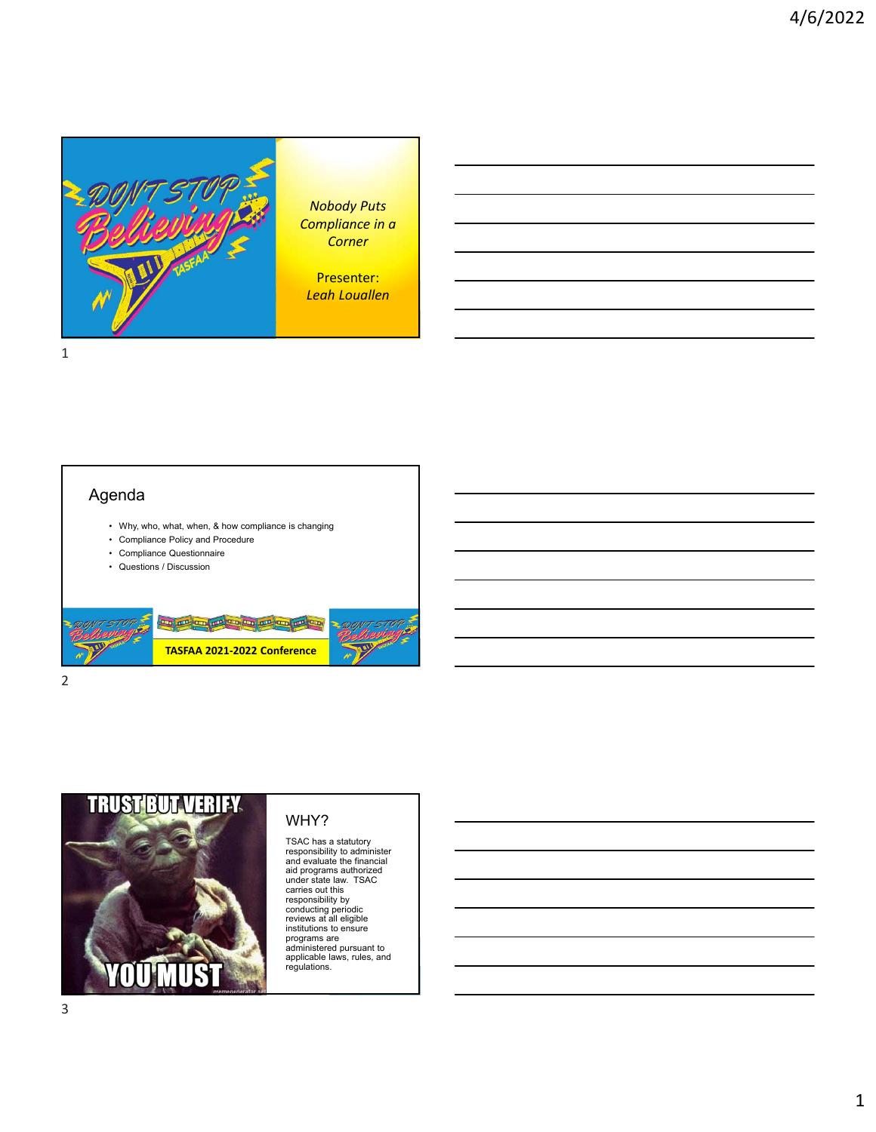

*Nobody Puts Compliance in a Corner*

Presenter: *Leah Louallen*

1

### Agenda

- Why, who, what, when, & how compliance is changing
- Compliance Policy and Procedure
- Compliance Questionnaire
- Questions / Discussion



2



#### WHY?

TSAC has a statutory responsibility to administer and evaluate the financial aid programs authorized under state law. TSAC carries out this responsibility by conducting periodic reviews at all eligible institutions to ensure programs are administered pursuant to applicable laws, rules, and regulations.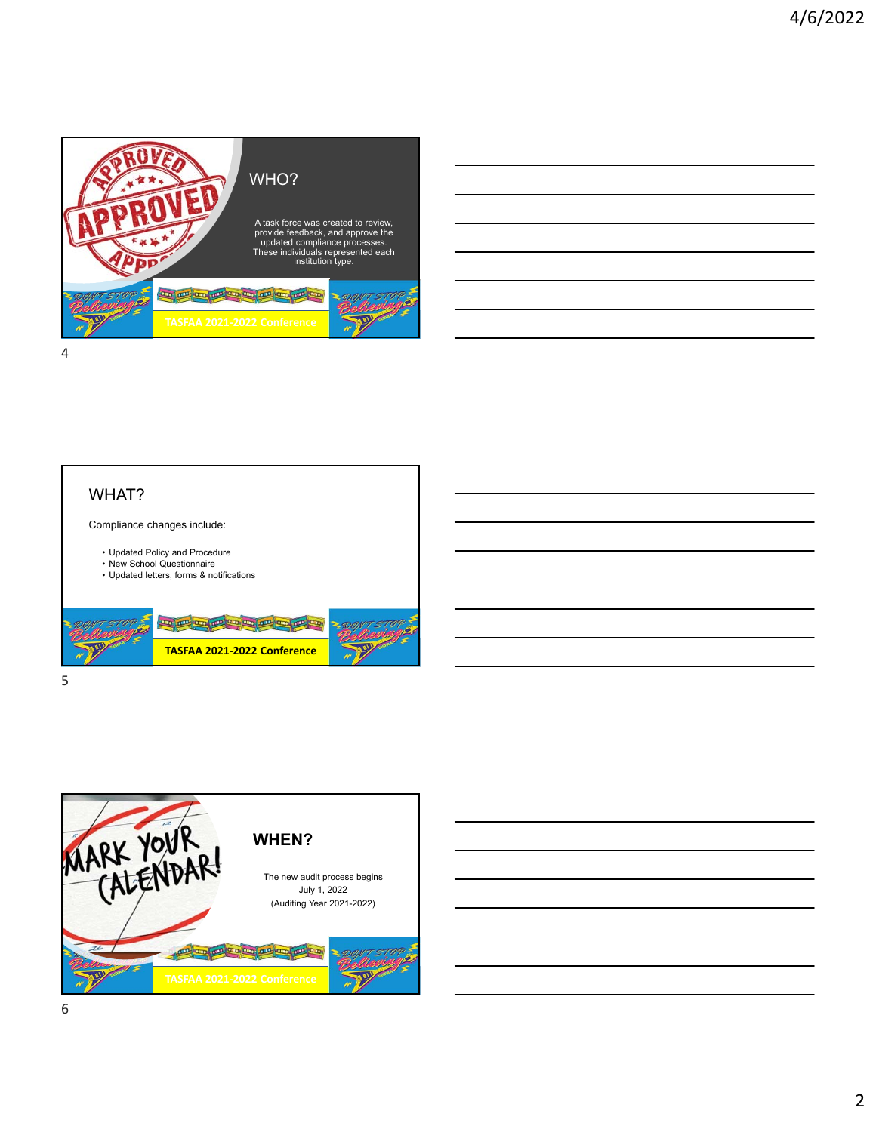

# WHAT? Compliance changes include: • Updated Policy and Procedure • New School Questionnaire • Updated letters, forms & notifications <u>and an an an an an an an an an an</u> **TASFAA 2021‐2022 Conference**

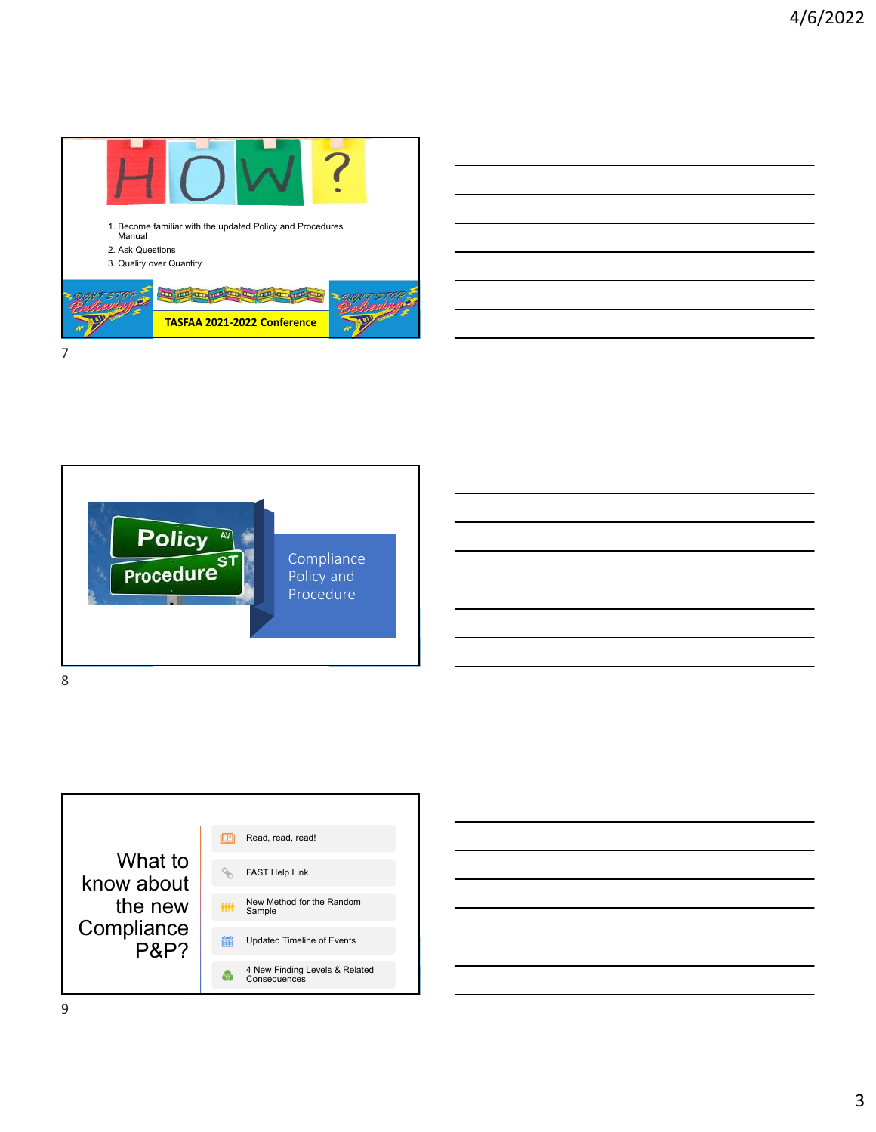





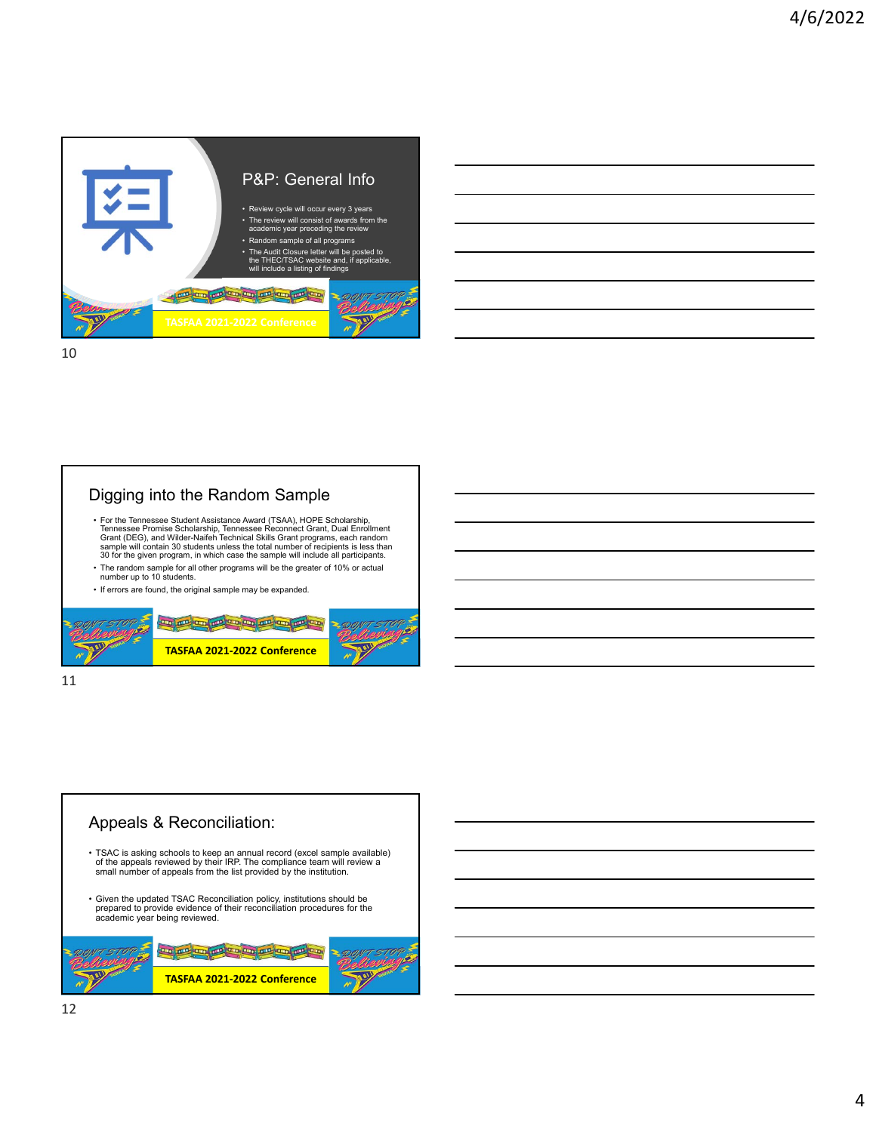

10

## Digging into the Random Sample

- For the Tennessee Student Assistance Award (TSAA), HOPE Scholarship,<br>Tennessee Promise Scholarship, Tennessee Reconnect Grant, Dual Enrollment<br>Grant (DEG), and Wilder-Naifeh Technical Skills Grant programs, each random<br>s
- The random sample for all other programs will be the greater of 10% or actual number up to 10 students.
- If errors are found, the original sample may be expanded.



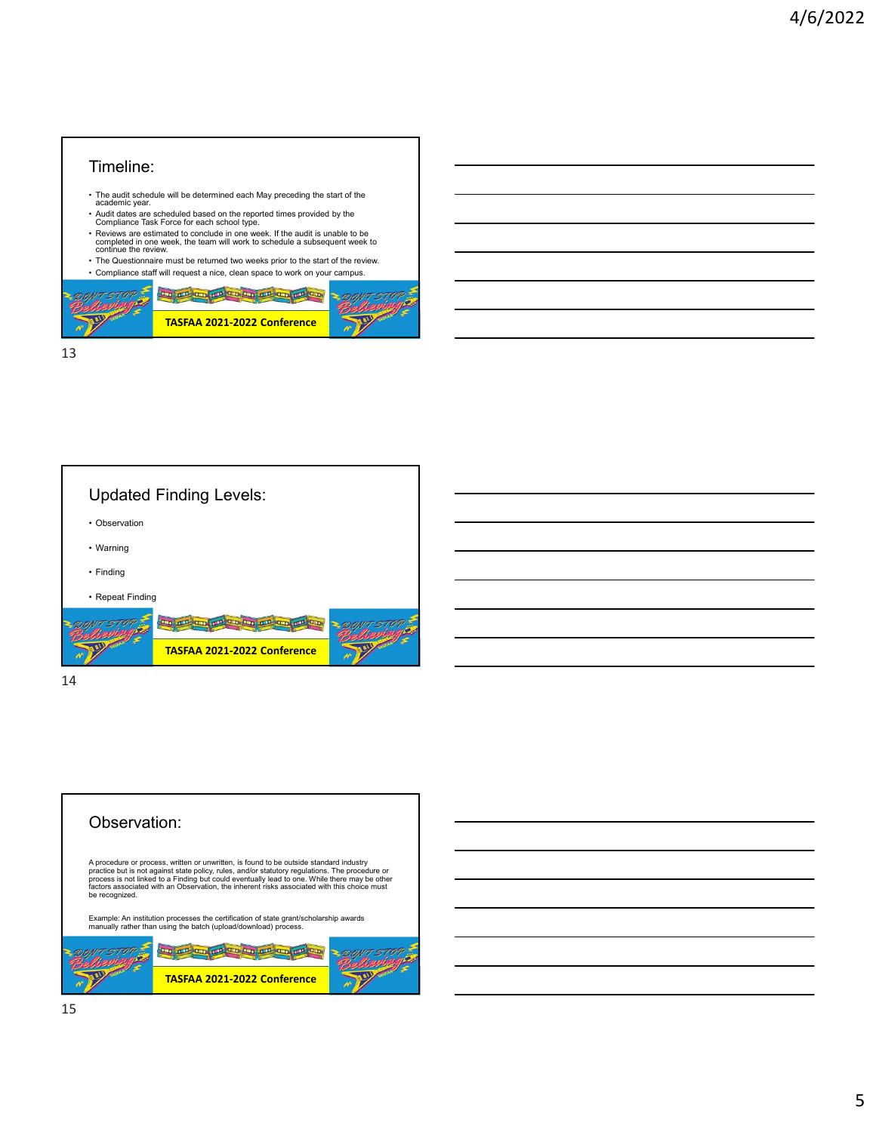#### Timeline:

- The audit schedule will be determined each May preceding the start of the academic year.
- Audit dates are scheduled based on the reported times provided by the Compliance Task Force for each school type.
- Reviews are estimated to conclude in one week. If the audit is unable to be completed in one week, the team will work to schedule a subsequent week to continue the review.
- The Questionnaire must be returned two weeks prior to the start of the review. • Compliance staff will request a nice, clean space to work on your campus.



13



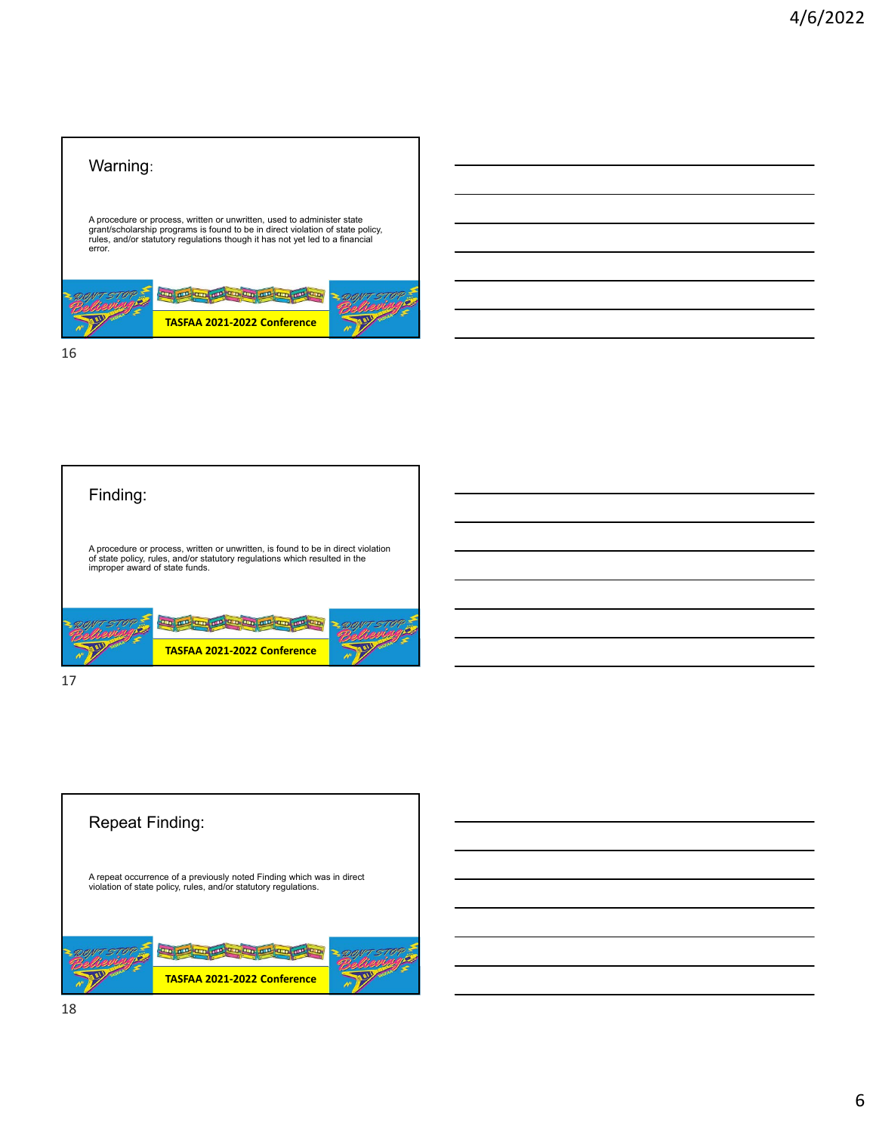## Warning:

A procedure or process, written or unwritten, used to administer state<br>grant/scholarship programs is found to be in direct violation of state policy,<br>rules, and/or statutory regulations though it has not yet led to a finan error.



16